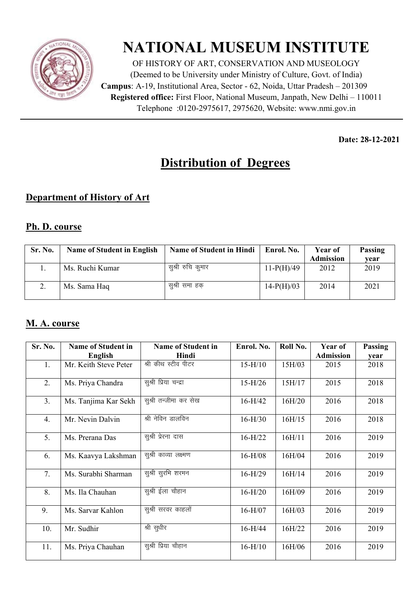

# **NATIONAL MUSEUM INSTITUTE**

OF HISTORY OF ART, CONSERVATION AND MUSEOLOGY (Deemed to be University under Ministry of Culture, Govt. of India) **Campus**: A-19, Institutional Area, Sector - 62, Noida, Uttar Pradesh – 201309 **Registered office:** First Floor, National Museum, Janpath, New Delhi – 110011 Telephone : 0120-2975617, 2975620, Website: www.nmi.gov.in

**Date: 28-12-2021** 

## **Distribution of Degrees**

### **Department of History of Art**

#### **Ph. D. course**

| Sr. No. | <b>Name of Student in English</b> | <b>Name of Student in Hindi</b> | Enrol. No.   | Year of          | Passing |
|---------|-----------------------------------|---------------------------------|--------------|------------------|---------|
|         |                                   |                                 |              | <b>Admission</b> | vear    |
|         | Ms. Ruchi Kumar                   | सुश्री रुचि कुमार               | $11-P(H)/49$ | 2012             | 2019    |
|         | Ms. Sama Haq                      | सुश्री समा हक                   | $14-P(H)/03$ | 2014             | 2021    |

#### **M. A. course**

| Sr. No.        | <b>Name of Student in</b> | <b>Name of Student in</b> | Enrol. No. | Roll No. | Year of          | Passing |
|----------------|---------------------------|---------------------------|------------|----------|------------------|---------|
|                | English                   | Hindi                     |            |          | <b>Admission</b> | vear    |
| 1.             | Mr. Keith Steve Peter     | श्री कीथ स्टीव पीटर       | $15-H/10$  | 15H/03   | 2015             | 2018    |
| 2.             | Ms. Priya Chandra         | सुश्री प्रिया चन्द्रा     | $15-H/26$  | 15H/17   | 2015             | 2018    |
| 3 <sub>1</sub> | Ms. Tanjima Kar Sekh      | सुश्री तन्जीमा कर सेख     | $16-H/42$  | 16H/20   | 2016             | 2018    |
| 4.             | Mr. Nevin Dalvin          | श्री नेविन डालविन         | $16-H/30$  | 16H/15   | 2016             | 2018    |
| 5.             | Ms. Prerana Das           | सुश्री प्रेरना दास        | $16-H/22$  | 16H/11   | 2016             | 2019    |
| 6.             | Ms. Kaavya Lakshman       | सुश्री काव्या लक्ष्मण     | $16-H/08$  | 16H/04   | 2016             | 2019    |
| 7.             | Ms. Surabhi Sharman       | सुश्री सुरभि शरमन         | $16-H/29$  | 16H/14   | 2016             | 2019    |
| 8.             | Ms. Ila Chauhan           | सुश्री ईला चौहान          | $16-H/20$  | 16H/09   | 2016             | 2019    |
| 9.             | Ms. Sarvar Kahlon         | सुश्री सरवर काहलों        | $16-H/07$  | 16H/03   | 2016             | 2019    |
| 10.            | Mr. Sudhir                | श्री सुधीर                | $16-H/44$  | 16H/22   | 2016             | 2019    |
| 11.            | Ms. Priya Chauhan         | सुश्री प्रिया चौहान       | $16-H/10$  | 16H/06   | 2016             | 2019    |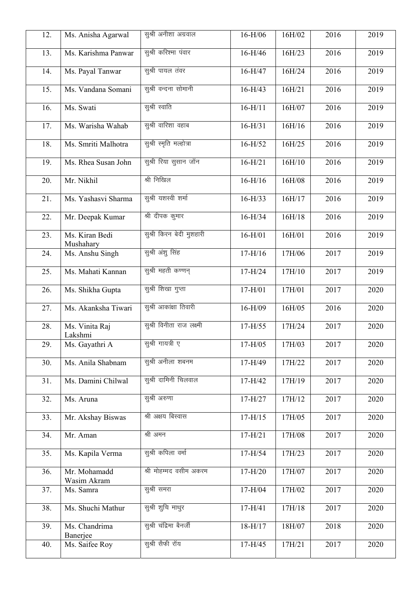| 12. | Ms. Anisha Agarwal          | सुश्री अनीशा अग्रवाल      | $16-H/06$ | 16H/02 | 2016 | 2019 |
|-----|-----------------------------|---------------------------|-----------|--------|------|------|
| 13. | Ms. Karishma Panwar         | सुश्री करिश्मा पंवार      | $16-H/46$ | 16H/23 | 2016 | 2019 |
| 14. | Ms. Payal Tanwar            | सुश्री पायल तंवर          | $16-H/47$ | 16H/24 | 2016 | 2019 |
| 15. | Ms. Vandana Somani          | सुश्री वन्दना सोमानी      | $16-H/43$ | 16H/21 | 2016 | 2019 |
| 16. | Ms. Swati                   | सुश्री स्वाति             | $16-H/11$ | 16H/07 | 2016 | 2019 |
| 17. | Ms. Warisha Wahab           | सुश्री वारिशा वहाब        | $16-H/31$ | 16H/16 | 2016 | 2019 |
| 18. | Ms. Smriti Malhotra         | सुश्री स्मृति मल्होत्रा   | $16-H/52$ | 16H/25 | 2016 | 2019 |
| 19. | Ms. Rhea Susan John         | सुश्री रिया सुसान जॉन     | $16-H/21$ | 16H/10 | 2016 | 2019 |
| 20. | Mr. Nikhil                  | श्री निखिल                | $16-H/16$ | 16H/08 | 2016 | 2019 |
| 21. | Ms. Yashasvi Sharma         | सुश्री यशस्वी शर्मा       | $16-H/33$ | 16H/17 | 2016 | 2019 |
| 22. | Mr. Deepak Kumar            | श्री दीपक कुमार           | $16-H/34$ | 16H/18 | 2016 | 2019 |
| 23. | Ms. Kiran Bedi<br>Mushahary | सुश्री किरन बेदी मुशहारी  | $16-H/01$ | 16H/01 | 2016 | 2019 |
| 24. | Ms. Anshu Singh             | सुश्री अंशु सिंह          | $17-H/16$ | 17H/06 | 2017 | 2019 |
| 25. | Ms. Mahati Kannan           | सुश्री महती कण्णन्        | $17-H/24$ | 17H/10 | 2017 | 2019 |
| 26. | Ms. Shikha Gupta            | सुश्री शिखा गुप्ता        | $17-H/01$ | 17H/01 | 2017 | 2020 |
| 27. | Ms. Akanksha Tiwari         | सुश्री आकांक्षा तिवारी    | $16-H/09$ | 16H/05 | 2016 | 2020 |
| 28. | Ms. Vinita Raj<br>Lakshmi   | सुश्री विनीता राज लक्ष्मी | $17-H/55$ | 17H/24 | 2017 | 2020 |
| 29. | Ms. Gayathri A              | सुश्री गायत्री ए          | $17-H/05$ | 17H/03 | 2017 | 2020 |
| 30. | Ms. Anila Shabnam           | सुश्री अनीला शबनम         | $17-H/49$ | 17H/22 | 2017 | 2020 |
| 31. | Ms. Damini Chilwal          | सुश्री दामिनी चिलवाल      | $17-H/42$ | 17H/19 | 2017 | 2020 |
| 32. | Ms. Aruna                   | सुश्री अरुणा              | $17-H/27$ | 17H/12 | 2017 | 2020 |
| 33. | Mr. Akshay Biswas           | श्री अक्षय बिस्वास        | $17-H/15$ | 17H/05 | 2017 | 2020 |
| 34. | Mr. Aman                    | श्री अमन                  | $17-H/21$ | 17H/08 | 2017 | 2020 |
| 35. | Ms. Kapila Verma            | सुश्री कपिला वर्मा        | $17-H/54$ | 17H/23 | 2017 | 2020 |
| 36. | Mr. Mohamadd<br>Wasim Akram | श्री मोहम्मद वसीम अकरम    | $17-H/20$ | 17H/07 | 2017 | 2020 |
| 37. | Ms. Samra                   | सुश्री समरा               | $17-H/04$ | 17H/02 | 2017 | 2020 |
| 38. | Ms. Shuchi Mathur           | सुश्री शुचि माथुर         | $17-H/41$ | 17H/18 | 2017 | 2020 |
| 39. | Ms. Chandrima<br>Banerjee   | सुश्री चंद्रिमा बैनर्जी   | $18-H/17$ | 18H/07 | 2018 | 2020 |
| 40. | Ms. Saifee Roy              | सुश्री सैफी रॉय           | $17-H/45$ | 17H/21 | 2017 | 2020 |